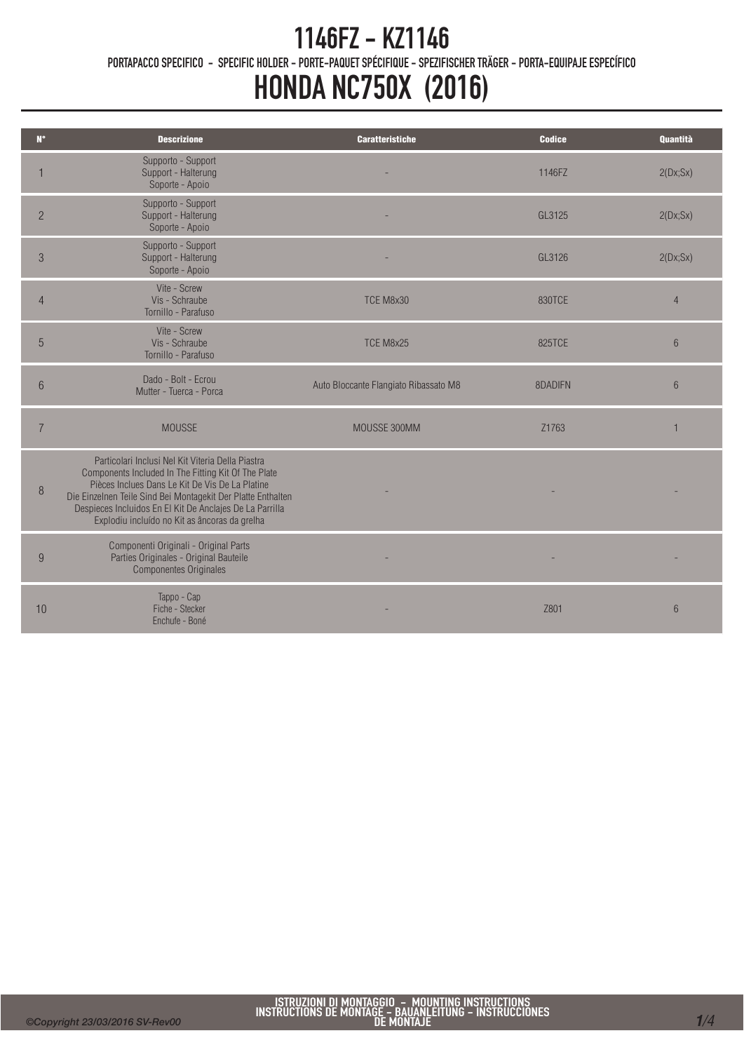# 1146FZ - KZ1146

PORTAPACCO SPECIFICO - SPECIFIC HOLDER - PORTE-PAQUET SPÉCIFIQUE - SPEZIFISCHER TRÄGER - PORTA-EQUIPAJE ESPECÍFICO

## HONDA NC750X (2016)

| $N^{\circ}$    | <b>Descrizione</b>                                                                                                                                                                                                                                                                                                                       | <b>Caratteristiche</b>                | <b>Codice</b> | Quantità        |
|----------------|------------------------------------------------------------------------------------------------------------------------------------------------------------------------------------------------------------------------------------------------------------------------------------------------------------------------------------------|---------------------------------------|---------------|-----------------|
|                | Supporto - Support<br>Support - Halterung<br>Soporte - Apoio                                                                                                                                                                                                                                                                             |                                       | 1146FZ        | 2(Dx;Sx)        |
| $\overline{2}$ | Supporto - Support<br>Support - Halterung<br>Soporte - Apoio                                                                                                                                                                                                                                                                             |                                       | GL3125        | 2(Dx;Sx)        |
| 3              | Supporto - Support<br>Support - Halterung<br>Soporte - Apoio                                                                                                                                                                                                                                                                             |                                       | GL3126        | 2(Dx;Sx)        |
| $\overline{4}$ | Vite - Screw<br>Vis - Schraube<br>Tornillo - Parafuso                                                                                                                                                                                                                                                                                    | TCE M8x30                             | 830TCE        | $\overline{4}$  |
| 5              | Vite - Screw<br>Vis - Schraube<br>Tornillo - Parafuso                                                                                                                                                                                                                                                                                    | TCE M8x25                             | 825TCE        | $6\overline{6}$ |
| 6              | Dado - Bolt - Ecrou<br>Mutter - Tuerca - Porca                                                                                                                                                                                                                                                                                           | Auto Bloccante Flangiato Ribassato M8 | 8DADIFN       | $6\overline{6}$ |
| $\overline{7}$ | <b>MOUSSE</b>                                                                                                                                                                                                                                                                                                                            | MOUSSE 300MM                          | Z1763         | 1               |
| 8              | Particolari Inclusi Nel Kit Viteria Della Piastra<br>Components Included In The Fitting Kit Of The Plate<br>Pièces Inclues Dans Le Kit De Vis De La Platine<br>Die Einzelnen Teile Sind Bei Montagekit Der Platte Enthalten<br>Despieces Incluidos En El Kit De Anclajes De La Parrilla<br>Explodiu incluído no Kit as âncoras da grelha |                                       |               |                 |
| 9              | Componenti Originali - Original Parts<br>Parties Originales - Original Bauteile<br><b>Componentes Originales</b>                                                                                                                                                                                                                         |                                       |               |                 |
| 10             | Tappo - Cap<br>Fiche - Stecker<br>Enchufe - Boné                                                                                                                                                                                                                                                                                         |                                       | Z801          | 6               |

Ī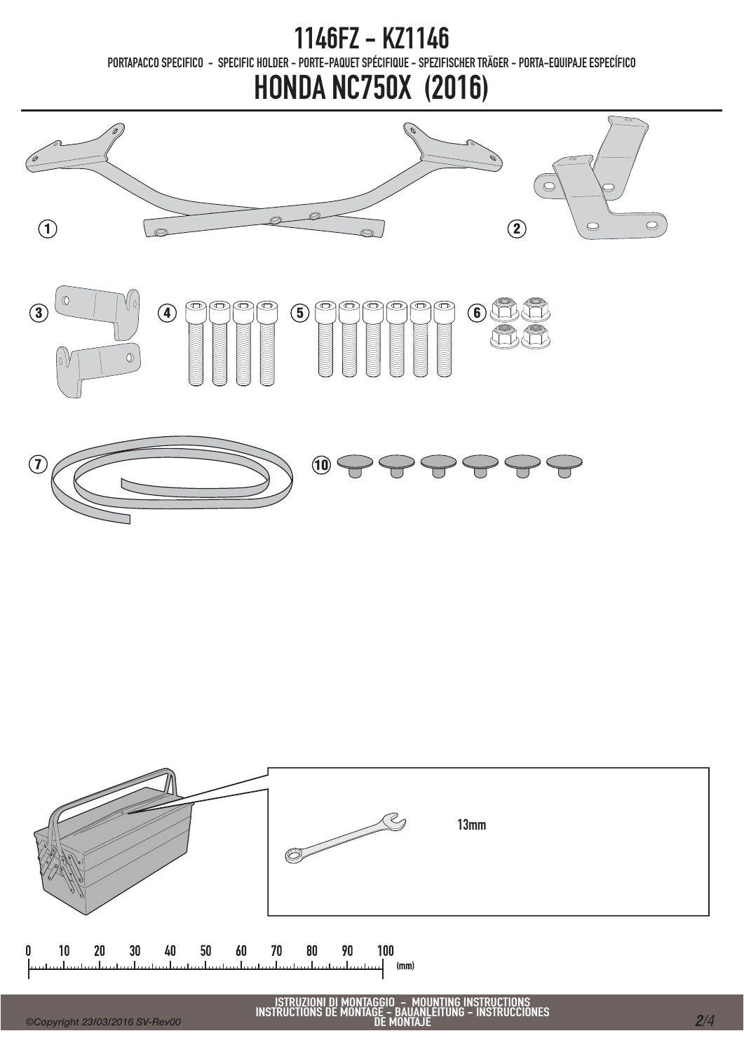1146FZ - KZ1146 PORTAPACCO SPECIFICO - SPECIFIC HOLDER - PORTE-PAQUET SPÉCIFIQUE - SPEZIFISCHER TRÄGER - PORTA-EQUIPAJE ESPECÍFICO

### HONDA NC750X (2016)



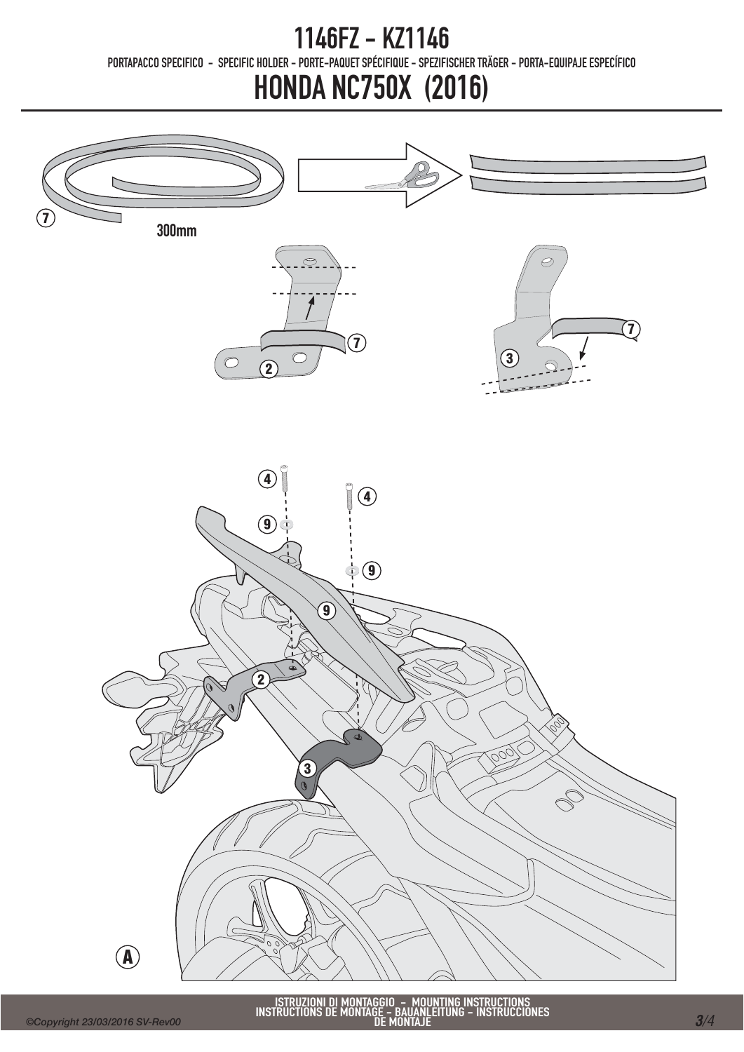#### 1146FZ - KZ1146 PORTAPACCO SPECIFICO - SPECIFIC HOLDER - PORTE-PAQUET SPÉCIFIQUE - SPEZIFISCHER TRÄGER - PORTA-EQUIPAJE ESPECÍFICO

### HONDA NC750X (2016)